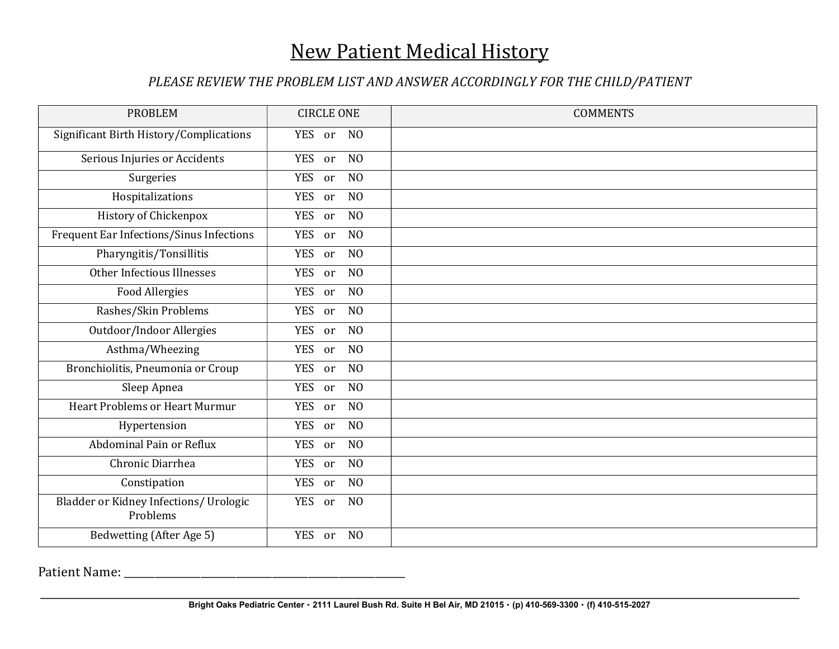## New Patient Medical History

## PLEASE REVIEW THE PROBLEM LIST AND ANSWER ACCORDINGLY FOR THE CHILD/PATIENT

| <b>PROBLEM</b>                                     | <b>CIRCLE ONE</b>                  | <b>COMMENTS</b> |
|----------------------------------------------------|------------------------------------|-----------------|
| Significant Birth History/Complications            | N <sub>0</sub><br>YES or           |                 |
| Serious Injuries or Accidents                      | YES or<br>N <sub>O</sub>           |                 |
| Surgeries                                          | <b>YES</b><br>N <sub>O</sub><br>or |                 |
| Hospitalizations                                   | <b>YES</b><br>N <sub>O</sub><br>or |                 |
| History of Chickenpox                              | <b>YES</b><br>N <sub>0</sub><br>or |                 |
| Frequent Ear Infections/Sinus Infections           | <b>YES</b><br>N <sub>O</sub><br>or |                 |
| Pharyngitis/Tonsillitis                            | <b>YES</b><br>N <sub>O</sub><br>or |                 |
| Other Infectious Illnesses                         | <b>YES</b><br>N <sub>0</sub><br>or |                 |
| <b>Food Allergies</b>                              | YES or<br>N <sub>O</sub>           |                 |
| Rashes/Skin Problems                               | YES or<br>N <sub>O</sub>           |                 |
| Outdoor/Indoor Allergies                           | <b>YES</b><br>N <sub>O</sub><br>or |                 |
| Asthma/Wheezing                                    | <b>YES</b><br>N <sub>O</sub><br>or |                 |
| Bronchiolitis, Pneumonia or Croup                  | <b>YES</b><br>N <sub>O</sub><br>or |                 |
| Sleep Apnea                                        | YES or<br>N <sub>O</sub>           |                 |
| <b>Heart Problems or Heart Murmur</b>              | YES or<br>N <sub>O</sub>           |                 |
| Hypertension                                       | <b>YES</b><br>N <sub>O</sub><br>or |                 |
| Abdominal Pain or Reflux                           | <b>YES</b><br>N <sub>O</sub><br>or |                 |
| Chronic Diarrhea                                   | <b>YES</b><br>N <sub>O</sub><br>or |                 |
| Constipation                                       | <b>YES</b><br>N <sub>O</sub><br>or |                 |
| Bladder or Kidney Infections/ Urologic<br>Problems | YES or<br>N <sub>O</sub>           |                 |
| Bedwetting (After Age 5)                           | YES or<br>N <sub>0</sub>           |                 |

Patient Name: \_\_\_\_\_\_\_\_\_\_\_\_\_\_\_\_\_\_\_\_\_\_\_\_\_\_\_\_\_\_\_\_\_\_\_\_\_\_\_\_\_\_\_\_\_\_\_\_\_\_\_\_\_\_\_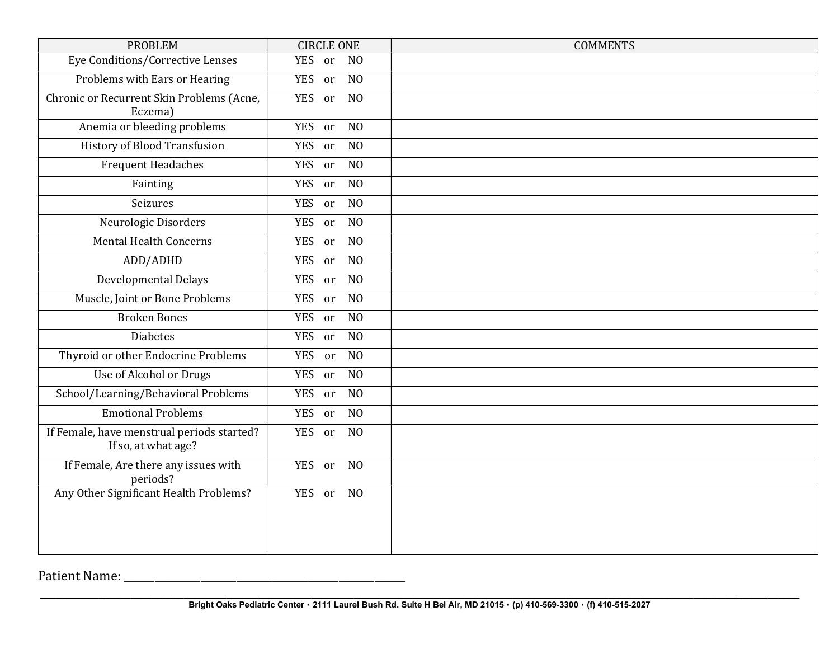| <b>PROBLEM</b>                                                    | <b>CIRCLE ONE</b>        | <b>COMMENTS</b> |
|-------------------------------------------------------------------|--------------------------|-----------------|
| Eye Conditions/Corrective Lenses                                  | YES or<br>N <sub>0</sub> |                 |
| Problems with Ears or Hearing                                     | YES or<br>N <sub>O</sub> |                 |
| Chronic or Recurrent Skin Problems (Acne,<br>Eczema)              | YES or NO                |                 |
| Anemia or bleeding problems                                       | N <sub>O</sub><br>YES or |                 |
| <b>History of Blood Transfusion</b>                               | YES or<br>N <sub>O</sub> |                 |
| <b>Frequent Headaches</b>                                         | N <sub>O</sub><br>YES or |                 |
| Fainting                                                          | N <sub>O</sub><br>YES or |                 |
| Seizures                                                          | N <sub>O</sub><br>YES or |                 |
| Neurologic Disorders                                              | YES or<br>N <sub>O</sub> |                 |
| <b>Mental Health Concerns</b>                                     | YES or<br>N <sub>0</sub> |                 |
| ADD/ADHD                                                          | YES or<br>N <sub>O</sub> |                 |
| <b>Developmental Delays</b>                                       | N <sub>O</sub><br>YES or |                 |
| Muscle, Joint or Bone Problems                                    | YES or<br>N <sub>O</sub> |                 |
| <b>Broken Bones</b>                                               | N <sub>O</sub><br>YES or |                 |
| <b>Diabetes</b>                                                   | YES or<br>N <sub>O</sub> |                 |
| Thyroid or other Endocrine Problems                               | YES or<br>N <sub>O</sub> |                 |
| Use of Alcohol or Drugs                                           | YES or<br>N <sub>O</sub> |                 |
| School/Learning/Behavioral Problems                               | YES or<br>N <sub>O</sub> |                 |
| <b>Emotional Problems</b>                                         | YES or<br>N <sub>O</sub> |                 |
| If Female, have menstrual periods started?<br>If so, at what age? | YES or<br>N <sub>O</sub> |                 |
| If Female, Are there any issues with<br>periods?                  | YES or<br>N <sub>O</sub> |                 |
| Any Other Significant Health Problems?                            | YES or<br>N <sub>0</sub> |                 |

Patient Name: \_\_\_\_\_\_\_\_\_\_\_\_\_\_\_\_\_\_\_\_\_\_\_\_\_\_\_\_\_\_\_\_\_\_\_\_\_\_\_\_\_\_\_\_\_\_\_\_\_\_\_\_\_\_\_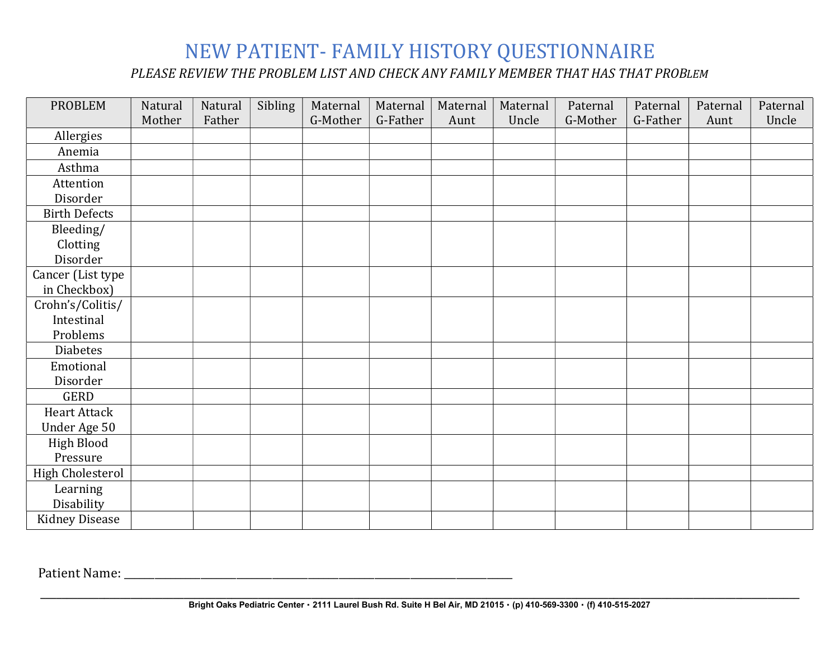## NEW PATIENT- FAMILY HISTORY QUESTIONNAIRE

PLEASE REVIEW THE PROBLEM LIST AND CHECK ANY FAMILY MEMBER THAT HAS THAT PROBLEM

| <b>PROBLEM</b>          | Natural | Natural | Sibling | Maternal | Maternal | Maternal | Maternal | Paternal | Paternal | Paternal | Paternal |
|-------------------------|---------|---------|---------|----------|----------|----------|----------|----------|----------|----------|----------|
|                         | Mother  | Father  |         | G-Mother | G-Father | Aunt     | Uncle    | G-Mother | G-Father | Aunt     | Uncle    |
| Allergies               |         |         |         |          |          |          |          |          |          |          |          |
| Anemia                  |         |         |         |          |          |          |          |          |          |          |          |
| Asthma                  |         |         |         |          |          |          |          |          |          |          |          |
| Attention               |         |         |         |          |          |          |          |          |          |          |          |
| Disorder                |         |         |         |          |          |          |          |          |          |          |          |
| <b>Birth Defects</b>    |         |         |         |          |          |          |          |          |          |          |          |
| Bleeding/               |         |         |         |          |          |          |          |          |          |          |          |
| Clotting                |         |         |         |          |          |          |          |          |          |          |          |
| Disorder                |         |         |         |          |          |          |          |          |          |          |          |
| Cancer (List type       |         |         |         |          |          |          |          |          |          |          |          |
| in Checkbox)            |         |         |         |          |          |          |          |          |          |          |          |
| Crohn's/Colitis/        |         |         |         |          |          |          |          |          |          |          |          |
| Intestinal              |         |         |         |          |          |          |          |          |          |          |          |
| Problems                |         |         |         |          |          |          |          |          |          |          |          |
| Diabetes                |         |         |         |          |          |          |          |          |          |          |          |
| Emotional               |         |         |         |          |          |          |          |          |          |          |          |
| Disorder                |         |         |         |          |          |          |          |          |          |          |          |
| GERD                    |         |         |         |          |          |          |          |          |          |          |          |
| <b>Heart Attack</b>     |         |         |         |          |          |          |          |          |          |          |          |
| Under Age 50            |         |         |         |          |          |          |          |          |          |          |          |
| <b>High Blood</b>       |         |         |         |          |          |          |          |          |          |          |          |
| Pressure                |         |         |         |          |          |          |          |          |          |          |          |
| <b>High Cholesterol</b> |         |         |         |          |          |          |          |          |          |          |          |
| Learning                |         |         |         |          |          |          |          |          |          |          |          |
| Disability              |         |         |         |          |          |          |          |          |          |          |          |
| <b>Kidney Disease</b>   |         |         |         |          |          |          |          |          |          |          |          |

Patient Name: \_\_\_\_\_\_\_\_\_\_\_\_\_\_\_\_\_\_\_\_\_\_\_\_\_\_\_\_\_\_\_\_\_\_\_\_\_\_\_\_\_\_\_\_\_\_\_\_\_\_\_\_\_\_\_\_\_\_\_\_\_\_\_\_\_\_\_\_\_\_\_\_\_\_\_\_